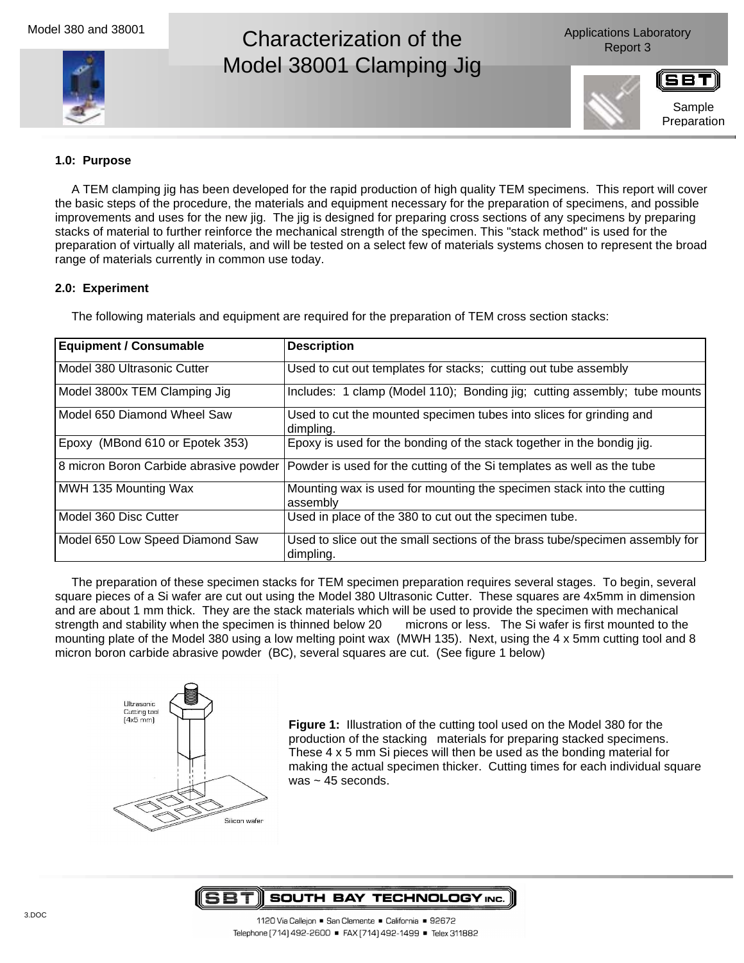

## Characterization of the Model 38001 Clamping Jig



## **1.0: Purpose**

A TEM clamping jig has been developed for the rapid production of high quality TEM specimens. This report will cover the basic steps of the procedure, the materials and equipment necessary for the preparation of specimens, and possible improvements and uses for the new jig. The jig is designed for preparing cross sections of any specimens by preparing stacks of material to further reinforce the mechanical strength of the specimen. This "stack method" is used for the preparation of virtually all materials, and will be tested on a select few of materials systems chosen to represent the broad range of materials currently in common use today.

## **2.0: Experiment**

The following materials and equipment are required for the preparation of TEM cross section stacks:

| <b>Equipment / Consumable</b>          | <b>Description</b>                                                                        |
|----------------------------------------|-------------------------------------------------------------------------------------------|
| Model 380 Ultrasonic Cutter            | Used to cut out templates for stacks; cutting out tube assembly                           |
| Model 3800x TEM Clamping Jig           | Includes: 1 clamp (Model 110); Bonding jig; cutting assembly; tube mounts                 |
| Model 650 Diamond Wheel Saw            | Used to cut the mounted specimen tubes into slices for grinding and<br>dimpling.          |
| Epoxy (MBond 610 or Epotek 353)        | Epoxy is used for the bonding of the stack together in the bondig jig.                    |
| 8 micron Boron Carbide abrasive powder | Powder is used for the cutting of the Si templates as well as the tube                    |
| MWH 135 Mounting Wax                   | Mounting wax is used for mounting the specimen stack into the cutting<br>assembly         |
| Model 360 Disc Cutter                  | Used in place of the 380 to cut out the specimen tube.                                    |
| Model 650 Low Speed Diamond Saw        | Used to slice out the small sections of the brass tube/specimen assembly for<br>dimpling. |

The preparation of these specimen stacks for TEM specimen preparation requires several stages. To begin, several square pieces of a Si wafer are cut out using the Model 380 Ultrasonic Cutter. These squares are 4x5mm in dimension and are about 1 mm thick. They are the stack materials which will be used to provide the specimen with mechanical strength and stability when the specimen is thinned below 20 microns or less. The Si wafer is first mounted to the mounting plate of the Model 380 using a low melting point wax (MWH 135). Next, using the 4 x 5mm cutting tool and 8 micron boron carbide abrasive powder (BC), several squares are cut. (See figure 1 below)



**Figure 1:** Illustration of the cutting tool used on the Model 380 for the production of the stacking materials for preparing stacked specimens. These 4 x 5 mm Si pieces will then be used as the bonding material for making the actual specimen thicker. Cutting times for each individual square was  $\sim$  45 seconds.

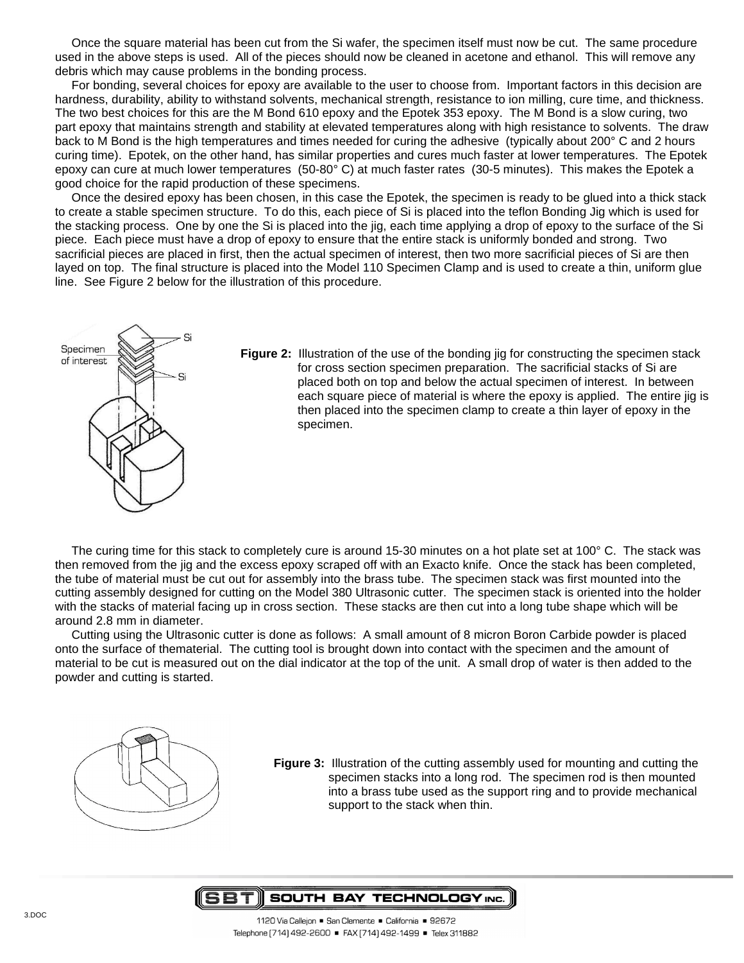Once the square material has been cut from the Si wafer, the specimen itself must now be cut. The same procedure used in the above steps is used. All of the pieces should now be cleaned in acetone and ethanol. This will remove any debris which may cause problems in the bonding process.

For bonding, several choices for epoxy are available to the user to choose from. Important factors in this decision are hardness, durability, ability to withstand solvents, mechanical strength, resistance to ion milling, cure time, and thickness. The two best choices for this are the M Bond 610 epoxy and the Epotek 353 epoxy. The M Bond is a slow curing, two part epoxy that maintains strength and stability at elevated temperatures along with high resistance to solvents. The draw back to M Bond is the high temperatures and times needed for curing the adhesive (typically about 200° C and 2 hours curing time). Epotek, on the other hand, has similar properties and cures much faster at lower temperatures. The Epotek epoxy can cure at much lower temperatures (50-80° C) at much faster rates (30-5 minutes). This makes the Epotek a good choice for the rapid production of these specimens.

Once the desired epoxy has been chosen, in this case the Epotek, the specimen is ready to be glued into a thick stack to create a stable specimen structure. To do this, each piece of Si is placed into the teflon Bonding Jig which is used for the stacking process. One by one the Si is placed into the jig, each time applying a drop of epoxy to the surface of the Si piece. Each piece must have a drop of epoxy to ensure that the entire stack is uniformly bonded and strong. Two sacrificial pieces are placed in first, then the actual specimen of interest, then two more sacrificial pieces of Si are then layed on top. The final structure is placed into the Model 110 Specimen Clamp and is used to create a thin, uniform glue line. See Figure 2 below for the illustration of this procedure.



**Figure 2:** Illustration of the use of the bonding jig for constructing the specimen stack for cross section specimen preparation. The sacrificial stacks of Si are placed both on top and below the actual specimen of interest. In between each square piece of material is where the epoxy is applied. The entire jig is then placed into the specimen clamp to create a thin layer of epoxy in the specimen.

The curing time for this stack to completely cure is around 15-30 minutes on a hot plate set at 100° C. The stack was then removed from the jig and the excess epoxy scraped off with an Exacto knife. Once the stack has been completed, the tube of material must be cut out for assembly into the brass tube. The specimen stack was first mounted into the cutting assembly designed for cutting on the Model 380 Ultrasonic cutter. The specimen stack is oriented into the holder with the stacks of material facing up in cross section. These stacks are then cut into a long tube shape which will be around 2.8 mm in diameter.

Cutting using the Ultrasonic cutter is done as follows: A small amount of 8 micron Boron Carbide powder is placed onto the surface of thematerial. The cutting tool is brought down into contact with the specimen and the amount of material to be cut is measured out on the dial indicator at the top of the unit. A small drop of water is then added to the powder and cutting is started.



**Figure 3:** Illustration of the cutting assembly used for mounting and cutting the specimen stacks into a long rod. The specimen rod is then mounted into a brass tube used as the support ring and to provide mechanical support to the stack when thin.